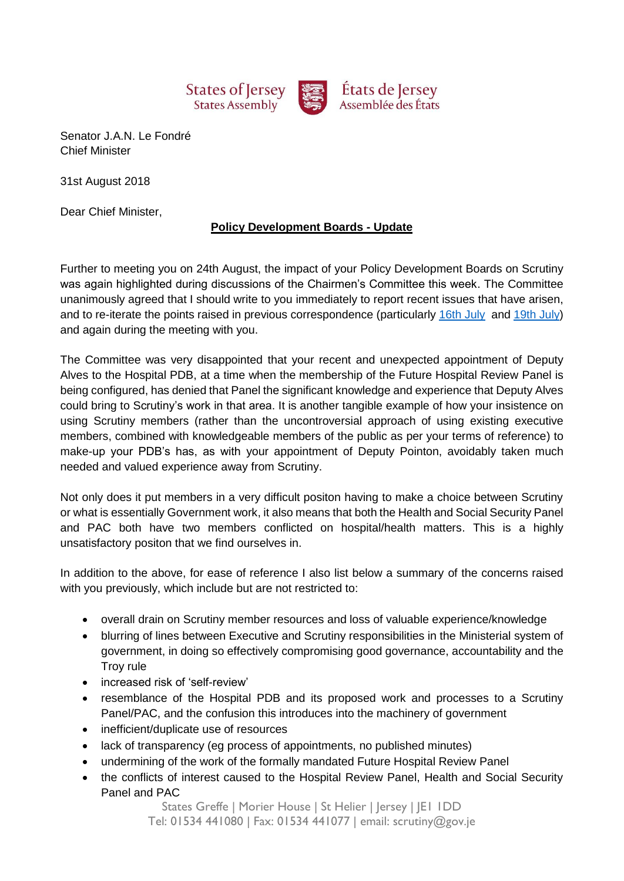

Senator J.A.N. Le Fondré Chief Minister

31st August 2018

Dear Chief Minister,

## **Policy Development Boards - Update**

Further to meeting you on 24th August, the impact of your Policy Development Boards on Scrutiny was again highlighted during discussions of the Chairmen's Committee this week. The Committee unanimously agreed that I should write to you immediately to report recent issues that have arisen, and to re-iterate the points raised in previous correspondence (particularly [16th July](https://statesassembly.gov.je/scrutinyreports/2018/letter%20-%20chairmen) and [19th July\)](https://statesassembly.gov.je/scrutinyreports/2018/letter%20-%20chairmen) and again during the meeting with you.

The Committee was very disappointed that your recent and unexpected appointment of Deputy Alves to the Hospital PDB, at a time when the membership of the Future Hospital Review Panel is being configured, has denied that Panel the significant knowledge and experience that Deputy Alves could bring to Scrutiny's work in that area. It is another tangible example of how your insistence on using Scrutiny members (rather than the uncontroversial approach of using existing executive members, combined with knowledgeable members of the public as per your terms of reference) to make-up your PDB's has, as with your appointment of Deputy Pointon, avoidably taken much needed and valued experience away from Scrutiny.

Not only does it put members in a very difficult positon having to make a choice between Scrutiny or what is essentially Government work, it also means that both the Health and Social Security Panel and PAC both have two members conflicted on hospital/health matters. This is a highly unsatisfactory positon that we find ourselves in.

In addition to the above, for ease of reference I also list below a summary of the concerns raised with you previously, which include but are not restricted to:

- overall drain on Scrutiny member resources and loss of valuable experience/knowledge
- blurring of lines between Executive and Scrutiny responsibilities in the Ministerial system of government, in doing so effectively compromising good governance, accountability and the Troy rule
- increased risk of 'self-review'
- resemblance of the Hospital PDB and its proposed work and processes to a Scrutiny Panel/PAC, and the confusion this introduces into the machinery of government
- inefficient/duplicate use of resources
- lack of transparency (eg process of appointments, no published minutes)
- undermining of the work of the formally mandated Future Hospital Review Panel
- the conflicts of interest caused to the Hospital Review Panel, Health and Social Security Panel and PAC

States Greffe | Morier House | St Helier | Jersey | JE1 1DD Tel: 01534 441080 | Fax: 01534 441077 | email: scrutiny@gov.je